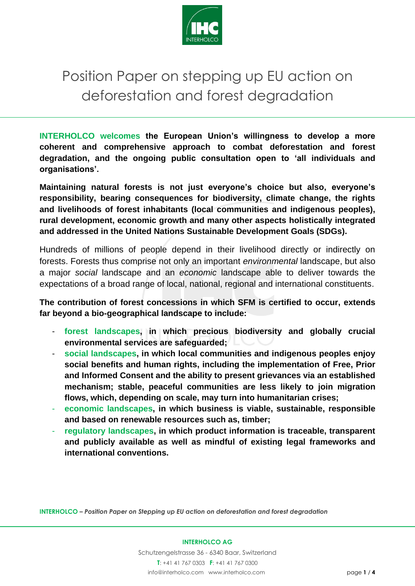

## Position Paper on stepping up EU action on deforestation and forest degradation

**INTERHOLCO welcomes the European Union's willingness to develop a more coherent and comprehensive approach to combat deforestation and forest degradation, and the ongoing public consultation open to 'all individuals and organisations'.**

**Maintaining natural forests is not just everyone's choice but also, everyone's responsibility, bearing consequences for biodiversity, climate change, the rights and livelihoods of forest inhabitants (local communities and indigenous peoples), rural development, economic growth and many other aspects holistically integrated and addressed in the United Nations Sustainable Development Goals (SDGs).**

Hundreds of millions of people depend in their livelihood directly or indirectly on forests. Forests thus comprise not only an important *environmental* landscape, but also a major *social* landscape and an *economic* landscape able to deliver towards the expectations of a broad range of local, national, regional and international constituents.

**The contribution of forest concessions in which SFM is certified to occur, extends far beyond a bio-geographical landscape to include:** 

- **forest landscapes, in which precious biodiversity and globally crucial environmental services are safeguarded;**
- **social landscapes, in which local communities and indigenous peoples enjoy social benefits and human rights, including the implementation of Free, Prior and Informed Consent and the ability to present grievances via an established mechanism; stable, peaceful communities are less likely to join migration flows, which, depending on scale, may turn into humanitarian crises;**
- **economic landscapes, in which business is viable, sustainable, responsible and based on renewable resources such as, timber;**
- regulatory landscapes, in which product information is traceable, transparent **and publicly available as well as mindful of existing legal frameworks and international conventions.**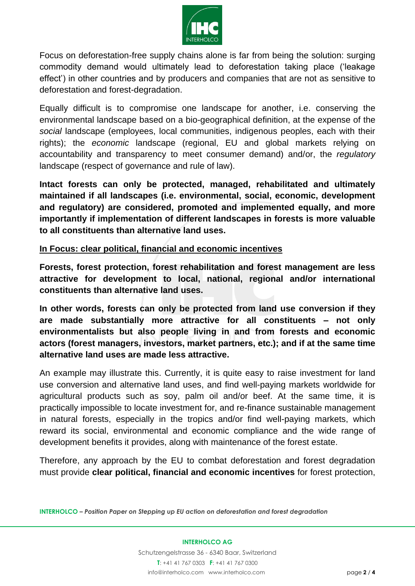

Focus on deforestation-free supply chains alone is far from being the solution: surging commodity demand would ultimately lead to deforestation taking place ('leakage effect') in other countries and by producers and companies that are not as sensitive to deforestation and forest-degradation.

Equally difficult is to compromise one landscape for another, i.e. conserving the environmental landscape based on a bio-geographical definition, at the expense of the *social* landscape (employees, local communities, indigenous peoples, each with their rights); the *economic* landscape (regional, EU and global markets relying on accountability and transparency to meet consumer demand) and/or, the *regulatory* landscape (respect of governance and rule of law).

**Intact forests can only be protected, managed, rehabilitated and ultimately maintained if all landscapes (i.e. environmental, social, economic, development and regulatory) are considered, promoted and implemented equally, and more importantly if implementation of different landscapes in forests is more valuable to all constituents than alternative land uses.** 

## **In Focus: clear political, financial and economic incentives**

**Forests, forest protection, forest rehabilitation and forest management are less attractive for development to local, national, regional and/or international constituents than alternative land uses.** 

**In other words, forests can only be protected from land use conversion if they are made substantially more attractive for all constituents – not only environmentalists but also people living in and from forests and economic actors (forest managers, investors, market partners, etc.); and if at the same time alternative land uses are made less attractive.**

An example may illustrate this. Currently, it is quite easy to raise investment for land use conversion and alternative land uses, and find well-paying markets worldwide for agricultural products such as soy, palm oil and/or beef. At the same time, it is practically impossible to locate investment for, and re-finance sustainable management in natural forests, especially in the tropics and/or find well-paying markets, which reward its social, environmental and economic compliance and the wide range of development benefits it provides, along with maintenance of the forest estate.

Therefore, any approach by the EU to combat deforestation and forest degradation must provide **clear political, financial and economic incentives** for forest protection,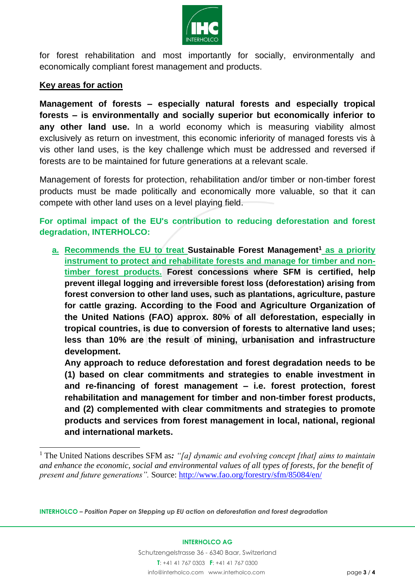

for forest rehabilitation and most importantly for socially, environmentally and economically compliant forest management and products.

## **Key areas for action**

l

**Management of forests – especially natural forests and especially tropical forests – is environmentally and socially superior but economically inferior to any other land use.** In a world economy which is measuring viability almost exclusively as return on investment, this economic inferiority of managed forests vis à vis other land uses, is the key challenge which must be addressed and reversed if forests are to be maintained for future generations at a relevant scale.

Management of forests for protection, rehabilitation and/or timber or non-timber forest products must be made politically and economically more valuable, so that it can compete with other land uses on a level playing field.

**For optimal impact of the EU's contribution to reducing deforestation and forest degradation, INTERHOLCO:** 

**a. Recommends the EU to treat Sustainable Forest Management<sup>1</sup> as a priority instrument to protect and rehabilitate forests and manage for timber and nontimber forest products. Forest concessions where SFM is certified, help prevent illegal logging and irreversible forest loss (deforestation) arising from forest conversion to other land uses, such as plantations, agriculture, pasture for cattle grazing. According to the Food and Agriculture Organization of the United Nations (FAO) approx. 80% of all deforestation, especially in tropical countries, is due to conversion of forests to alternative land uses; less than 10% are the result of mining, urbanisation and infrastructure development.**

**Any approach to reduce deforestation and forest degradation needs to be (1) based on clear commitments and strategies to enable investment in and re-financing of forest management – i.e. forest protection, forest rehabilitation and management for timber and non-timber forest products, and (2) complemented with clear commitments and strategies to promote products and services from forest management in local, national, regional and international markets.**

<sup>1</sup> The United Nations describes SFM as*: "[a] dynamic and evolving concept [that] aims to maintain and enhance the economic, social and environmental values of all types of forests, for the benefit of present and future generations".* Source: <http://www.fao.org/forestry/sfm/85084/en/>